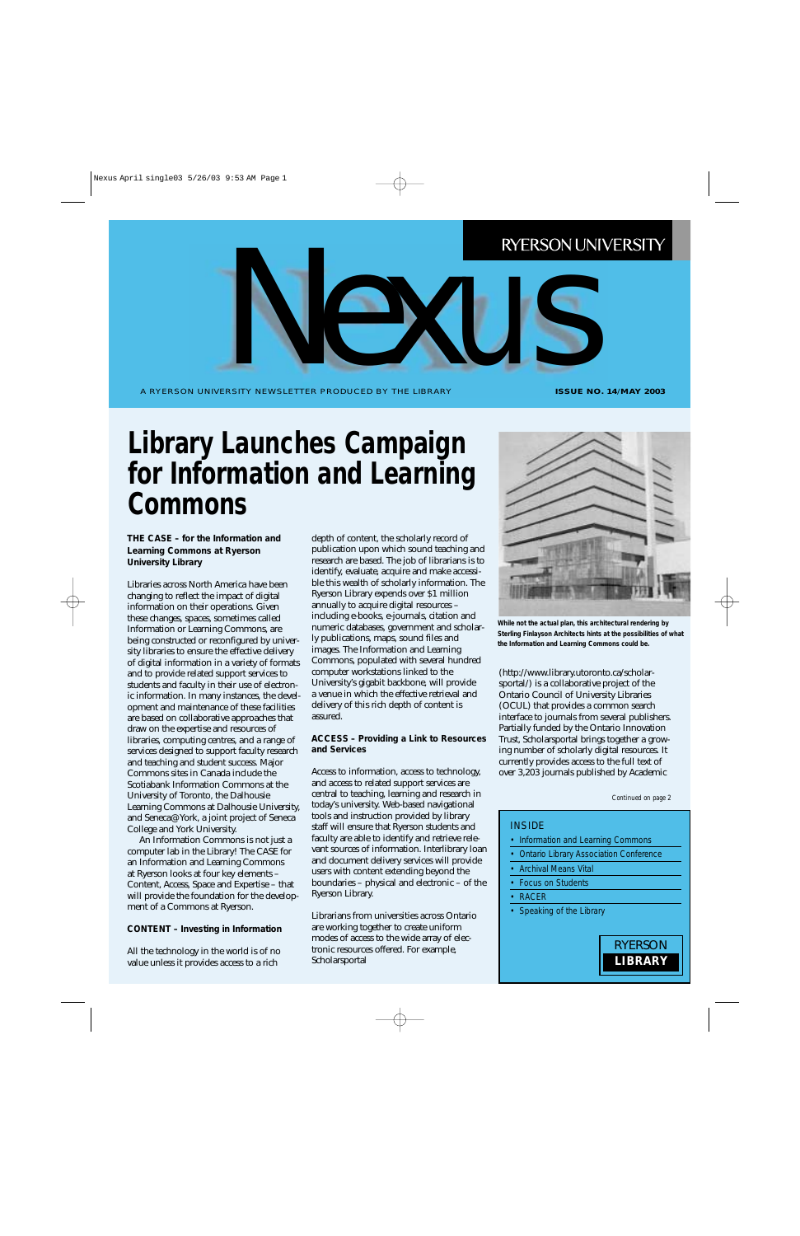A RYERSON UNIVERSITY NEWSLETTER PRODUCED BY THE LIBRARY ERSITY NEWSLETTER PRODUCED BY THE LIBRARY

**ISSUE NO. 14**/**MAY 2003**

### **Library Launches Campaign for Information and Learning Commons**

**THE CASE – for the Information and Learning Commons at Ryerson University Library**

Libraries across North America have been changing to reflect the impact of digital information on their operations. Given these changes, spaces, sometimes called Information or Learning Commons, are being constructed or reconfigured by university libraries to ensure the effective delivery of digital information in a variety of formats and to provide related support services to students and faculty in their use of electronic information. In many instances, the development and maintenance of these facilities are based on collaborative approaches that draw on the expertise and resources of libraries, computing centres, and a range of services designed to support faculty research and teaching and student success. Major Commons sites in Canada include the Scotiabank Information Commons at the University of Toronto, the Dalhousie Learning Commons at Dalhousie University, and Seneca@York, a joint project of Seneca College and York University.

An Information Commons is not just a computer lab in the Library! The CASE for an Information and Learning Commons at Ryerson looks at four key elements – Content, Access, Space and Expertise – that will provide the foundation for the development of a Commons at Ryerson.

#### **CONTENT – Investing in Information**

All the technology in the world is of no value unless it provides access to a rich

depth of content, the scholarly record of publication upon which sound teaching and research are based. The job of librarians is to identify, evaluate, acquire and make accessible this wealth of scholarly information. The Ryerson Library expends over \$1 million annually to acquire digital resources – including e-books, e-journals, citation and numeric databases, government and scholarly publications, maps, sound files and images. The Information and Learning Commons, populated with several hundred computer workstations linked to the University's gigabit backbone, will provide a venue in which the effective retrieval and delivery of this rich depth of content is assured.

#### **ACCESS – Providing a Link to Resources and Services**

Access to information, access to technology, and access to related support services are central to teaching, learning and research in today's university. Web-based navigational tools and instruction provided by library staff will ensure that Ryerson students and faculty are able to identify and retrieve relevant sources of information. Interlibrary loan and document delivery services will provide users with content extending beyond the boundaries – physical and electronic – of the Ryerson Library.

Librarians from universities across Ontario are working together to create uniform modes of access to the wide array of electronic resources offered. For example, Scholarsportal



**While not the actual plan, this architectural rendering by Sterling Finlayson Architects hints at the possibilities of what the Information and Learning Commons could be.**

(http://www.library.utoronto.ca/scholarsportal/) is a collaborative project of the Ontario Council of University Libraries (OCUL) that provides a common search interface to journals from several publishers. Partially funded by the Ontario Innovation Trust, Scholarsportal brings together a growing number of scholarly digital resources. It currently provides access to the full text of over 3,203 journals published by Academic

```
Continued on page 2
```
#### INSIDE

- Information and Learning Commons
- Ontario Library Association Conference
- Archival Means Vital
- Focus on Students
- RACER
- Speaking of the Library

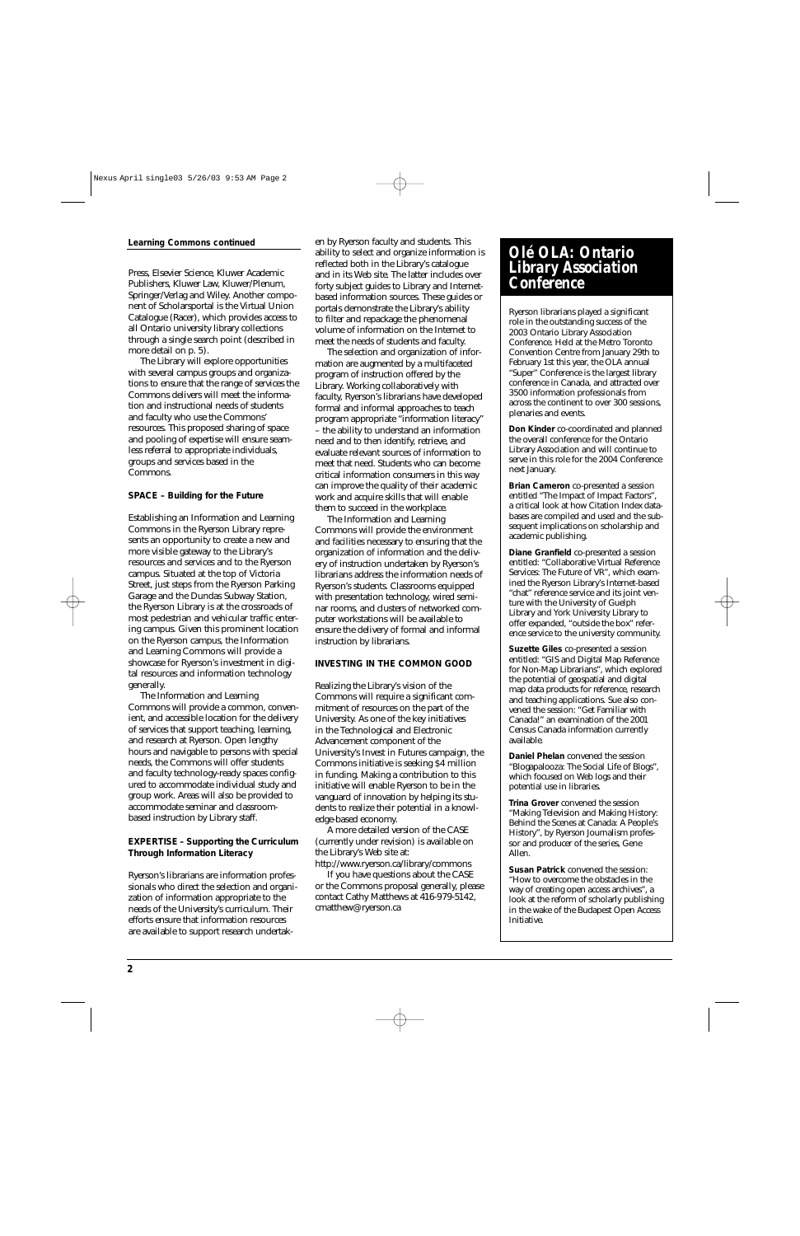Press, Elsevier Science, Kluwer Academic Publishers, Kluwer Law, Kluwer/Plenum, Springer/Verlag and Wiley. Another component of Scholarsportal is the Virtual Union Catalogue (Racer), which provides access to all Ontario university library collections through a single search point (described in more detail on p. 5).

The Library will explore opportunities with several campus groups and organizations to ensure that the range of services the Commons delivers will meet the information and instructional needs of students and faculty who use the Commons' resources. This proposed sharing of space and pooling of expertise will ensure seamless referral to appropriate individuals, groups and services based in the Commons.

#### **SPACE – Building for the Future**

Establishing an Information and Learning Commons in the Ryerson Library represents an opportunity to create a new and more visible gateway to the Library's resources and services and to the Ryerson campus. Situated at the top of Victoria Street, just steps from the Ryerson Parking Garage and the Dundas Subway Station, the Ryerson Library is at the crossroads of most pedestrian and vehicular traffic entering campus. Given this prominent location on the Ryerson campus, the Information and Learning Commons will provide a showcase for Ryerson's investment in digital resources and information technology generally.

The Information and Learning Commons will provide a common, convenient, and accessible location for the delivery of services that support teaching, learning, and research at Ryerson. Open lengthy hours and navigable to persons with special needs, the Commons will offer students and faculty technology-ready spaces configured to accommodate individual study and group work. Areas will also be provided to accommodate seminar and classroombased instruction by Library staff.

#### **EXPERTISE – Supporting the Curriculum Through Information Literacy**

Ryerson's librarians are information professionals who direct the selection and organization of information appropriate to the needs of the University's curriculum. Their efforts ensure that information resources are available to support research undertak-

Learning Commons continued en by Ryerson faculty and students. This ability to select and organize information is reflected both in the Library's catalogue and in its Web site. The latter includes over forty subject guides to Library and Internetbased information sources. These guides or portals demonstrate the Library's ability to filter and repackage the phenomenal volume of information on the Internet to meet the needs of students and faculty.

> The selection and organization of information are augmented by a multifaceted program of instruction offered by the Library. Working collaboratively with faculty, Ryerson's librarians have developed formal and informal approaches to teach program appropriate "information literacy" – the ability to understand an information need and to then identify, retrieve, and evaluate relevant sources of information to meet that need. Students who can become critical information consumers in this way can improve the quality of their academic work and acquire skills that will enable them to succeed in the workplace.

> The Information and Learning Commons will provide the environment and facilities necessary to ensuring that the organization of information and the delivery of instruction undertaken by Ryerson's librarians address the information needs of Ryerson's students. Classrooms equipped with presentation technology, wired seminar rooms, and clusters of networked computer workstations will be available to ensure the delivery of formal and informal instruction by librarians.

#### **INVESTING IN THE COMMON GOOD**

Realizing the Library's vision of the Commons will require a significant commitment of resources on the part of the University. As one of the key initiatives in the Technological and Electronic Advancement component of the University's Invest in Futures campaign, the Commons initiative is seeking \$4 million in funding. Making a contribution to this initiative will enable Ryerson to be in the vanguard of innovation by helping its students to realize their potential in a knowledge-based economy.

A more detailed version of the CASE (currently under revision) is available on the Library's Web site at:

http://www.ryerson.ca/library/commons If you have questions about the CASE

or the Commons proposal generally, please contact Cathy Matthews at 416-979-5142, cmatthew@ryerson.ca

#### *Olé OLA: Ontario Library Association Conference*

Ryerson librarians played a significant role in the outstanding success of the 2003 Ontario Library Association Conference. Held at the Metro Toronto Convention Centre from January 29th to February 1st this year, the OLA annual "Super" Conference is the largest library conference in Canada, and attracted over 3500 information professionals from across the continent to over 300 sessions, plenaries and events.

**Don Kinder** co-coordinated and planned the overall conference for the Ontario Library Association and will continue to serve in this role for the 2004 Conference next January.

**Brian Cameron** co-presented a session entitled "The Impact of Impact Factors", a critical look at how Citation Index databases are compiled and used and the subsequent implications on scholarship and academic publishing.

**Diane Granfield** co-presented a session entitled: "Collaborative Virtual Reference Services: The Future of VR", which examined the Ryerson Library's Internet-based "chat" reference service and its joint venture with the University of Guelph Library and York University Library to offer expanded, "outside the box" reference service to the university community.

**Suzette Giles** co-presented a session entitled: "GIS and Digital Map Reference for Non-Map Librarians", which explored the potential of geospatial and digital map data products for reference, research and teaching applications. Sue also convened the session: "Get Familiar with Canada!" an examination of the 2001 Census Canada information currently available.

**Daniel Phelan** convened the session "Blogapalooza: The Social Life of Blogs", which focused on Web logs and their potential use in libraries.

**Trina Grover** convened the session "Making Television and Making History: Behind the Scenes at Canada: A People's History", by Ryerson Journalism professor and producer of the series, Gene Allen.

**Susan Patrick** convened the session: "How to overcome the obstacles in the way of creating open access archives", a look at the reform of scholarly publishing in the wake of the Budapest Open Access Initiative.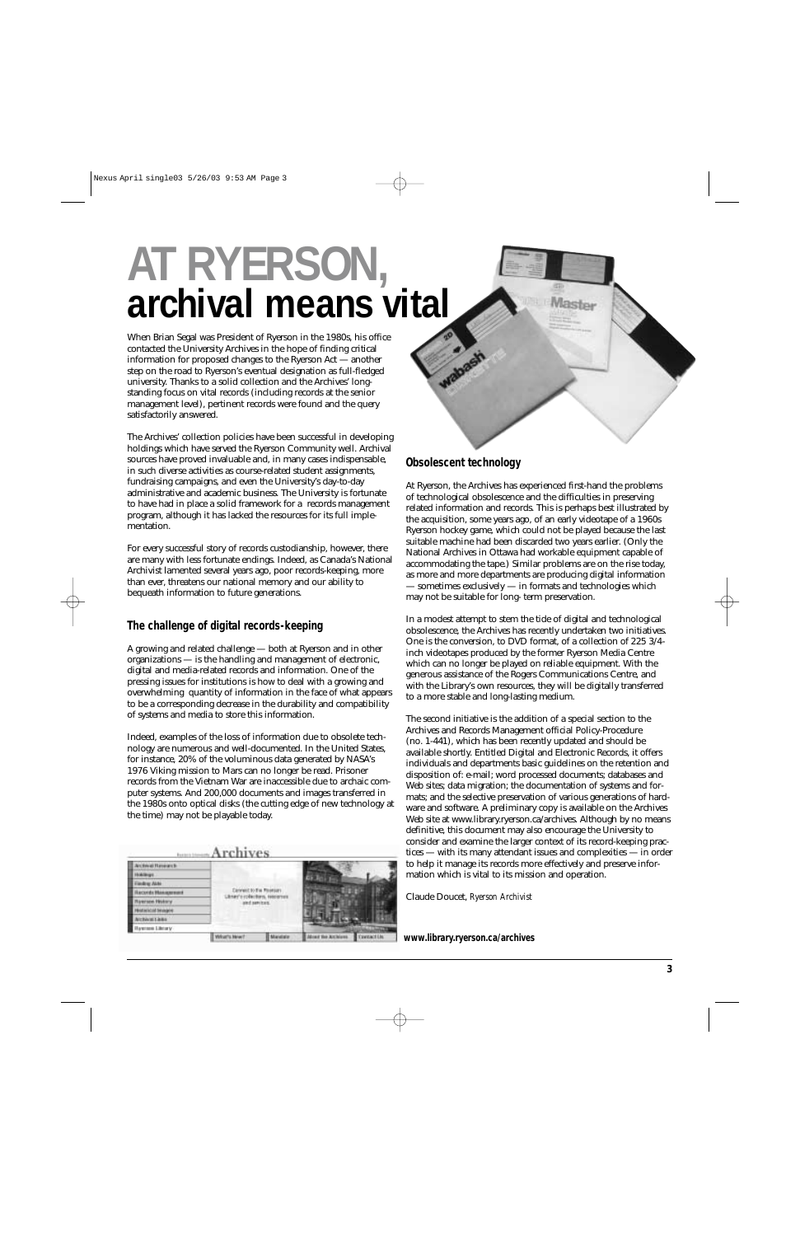# **AT RYERSON, archival means vital**

When Brian Segal was President of Ryerson in the 1980s, his office contacted the University Archives in the hope of finding critical information for proposed changes to the Ryerson Act — another step on the road to Ryerson's eventual designation as full-fledged university. Thanks to a solid collection and the Archives' longstanding focus on vital records (including records at the senior management level), pertinent records were found and the query satisfactorily answered.

The Archives' collection policies have been successful in developing holdings which have served the Ryerson Community well. Archival sources have proved invaluable and, in many cases indispensable, in such diverse activities as course-related student assignments, fundraising campaigns, and even the University's day-to-day administrative and academic business. The University is fortunate to have had in place a solid framework for a records management program, although it has lacked the resources for its full implementation.

For every successful story of records custodianship, however, there are many with less fortunate endings. Indeed, as Canada's National Archivist lamented several years ago, poor records-keeping, more than ever, threatens our national memory and our ability to bequeath information to future generations.

#### **The challenge of digital records-keeping**

A growing and related challenge — both at Ryerson and in other organizations — is the handling and management of electronic, digital and media-related records and information. One of the pressing issues for institutions is how to deal with a growing and overwhelming quantity of information in the face of what appears to be a corresponding decrease in the durability and compatibility of systems and media to store this information.

Indeed, examples of the loss of information due to obsolete technology are numerous and well-documented. In the United States, for instance, 20% of the voluminous data generated by NASA's 1976 Viking mission to Mars can no longer be read. Prisoner records from the Vietnam War are inaccessible due to archaic computer systems. And 200,000 documents and images transferred in the 1980s onto optical disks (the cutting edge of new technology at the time) may not be playable today.

#### Archives

|                          | What's New                                                              | Mandale | <b>Mind the Attients</b> | <b>Contact LN</b> |
|--------------------------|-------------------------------------------------------------------------|---------|--------------------------|-------------------|
| avenue Library           |                                                                         |         |                          |                   |
| <b>MICRAVIET AIRES</b>   |                                                                         |         |                          |                   |
| <b>MAGAS SKANAR</b>      |                                                                         |         |                          |                   |
| versex History           | Connect to the Positions<br>nay's rollectors, response<br>and services. |         |                          |                   |
| conductional approvalent |                                                                         |         |                          |                   |
| Fieders Alde             |                                                                         |         |                          |                   |
|                          |                                                                         |         |                          |                   |
| Archival Research        |                                                                         |         |                          |                   |



#### **Obsolescent technology**

At Ryerson, the Archives has experienced first-hand the problems of technological obsolescence and the difficulties in preserving related information and records. This is perhaps best illustrated by the acquisition, some years ago, of an early videotape of a 1960s Ryerson hockey game, which could not be played because the last suitable machine had been discarded two years earlier. (Only the National Archives in Ottawa had workable equipment capable of accommodating the tape.) Similar problems are on the rise today, as more and more departments are producing digital information — sometimes exclusively — in formats and technologies which may not be suitable for long- term preservation.

In a modest attempt to stem the tide of digital and technological obsolescence, the Archives has recently undertaken two initiatives. One is the conversion, to DVD format, of a collection of 225 3/4 inch videotapes produced by the former Ryerson Media Centre which can no longer be played on reliable equipment. With the generous assistance of the Rogers Communications Centre, and with the Library's own resources, they will be digitally transferred to a more stable and long-lasting medium.

The second initiative is the addition of a special section to the Archives and Records Management official Policy-Procedure (no. 1-441), which has been recently updated and should be available shortly. Entitled Digital and Electronic Records, it offers individuals and departments basic guidelines on the retention and disposition of: e-mail; word processed documents; databases and Web sites; data migration; the documentation of systems and formats; and the selective preservation of various generations of hardware and software. A preliminary copy is available on the Archives Web site at www.library.ryerson.ca/archives. Although by no means definitive, this document may also encourage the University to consider and examine the larger context of its record-keeping practices — with its many attendant issues and complexities — in order to help it manage its records more effectively and preserve information which is vital to its mission and operation.

Claude Doucet, *Ryerson Archivist* 

**www.library.ryerson.ca/archives**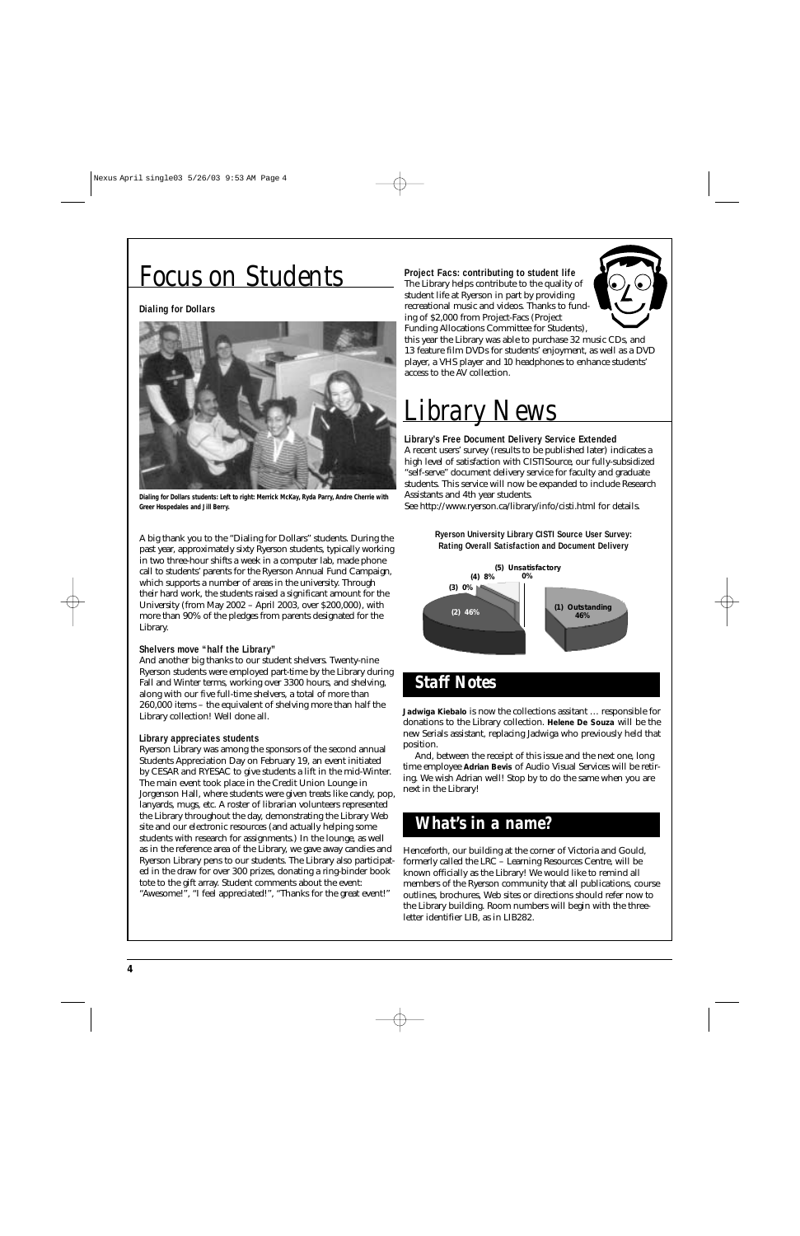### *Focus on Students*

#### **Dialing for Dollars**



**Dialing for Dollars students: Left to right: Merrick McKay, Ryda Parry, Andre Cherrie with Greer Hospedales and Jill Berry.**

A big thank you to the "Dialing for Dollars" students. During the past year, approximately sixty Ryerson students, typically working in two three-hour shifts a week in a computer lab, made phone call to students' parents for the Ryerson Annual Fund Campaign, which supports a number of areas in the university. Through their hard work, the students raised a significant amount for the University (from May 2002 – April 2003, over \$200,000), with more than 90% of the pledges from parents designated for the Library.

#### **Shelvers move "half the Library"**

And another big thanks to our student shelvers. Twenty-nine Ryerson students were employed part-time by the Library during Fall and Winter terms, working over 3300 hours, and shelving, along with our five full-time shelvers, a total of more than 260,000 items – the equivalent of shelving more than half the Library collection! Well done all.

#### **Library appreciates students**

Ryerson Library was among the sponsors of the second annual Students Appreciation Day on February 19, an event initiated by CESAR and RYESAC to give students a lift in the mid-Winter. The main event took place in the Credit Union Lounge in Jorgenson Hall, where students were given treats like candy, pop, lanyards, mugs, etc. A roster of librarian volunteers represented the Library throughout the day, demonstrating the Library Web site and our electronic resources (and actually helping some students with research for assignments.) In the lounge, as well as in the reference area of the Library, we gave away candies and Ryerson Library pens to our students. The Library also participated in the draw for over 300 prizes, donating a ring-binder book tote to the gift array. Student comments about the event: "Awesome!", "I feel appreciated!", "Thanks for the great event!"

#### **Project Facs: contributing to student life** The Library helps contribute to the quality of student life at Ryerson in part by providing recreational music and videos. Thanks to funding of \$2,000 from Project-Facs (Project Funding Allocations Committee for Students),



this year the Library was able to purchase 32 music CDs, and 13 feature film DVDs for students' enjoyment, as well as a DVD player, a VHS player and 10 headphones to enhance students' access to the AV collection.

## *Library News*

#### **Library's Free Document Delivery Service Extended**

A recent users' survey (results to be published later) indicates a high level of satisfaction with CISTISource, our fully-subsidized "self-serve" document delivery service for faculty and graduate students. This service will now be expanded to include Research Assistants and 4th year students.

See http://www.ryerson.ca/library/info/cisti.html for details.

**Ryerson University Library CISTI Source User Survey: Rating Overall Satisfaction and Document Delivery**



**Jadwiga Kiebalo** is now the collections assitant … responsible for donations to the Library collection. **Helene De Souza** will be the new Serials assistant, replacing Jadwiga who previously held that position.

And, between the receipt of this issue and the next one, long time employee **Adrian Bevis** of Audio Visual Services will be retiring. We wish Adrian well! Stop by to do the same when you are next in the Library!

### *What's in a name?*

Henceforth, our building at the corner of Victoria and Gould, formerly called the LRC – Learning Resources Centre, will be known officially as the Library! We would like to remind all members of the Ryerson community that all publications, course outlines, brochures, Web sites or directions should refer now to the Library building. Room numbers will begin with the threeletter identifier LIB, as in LIB282.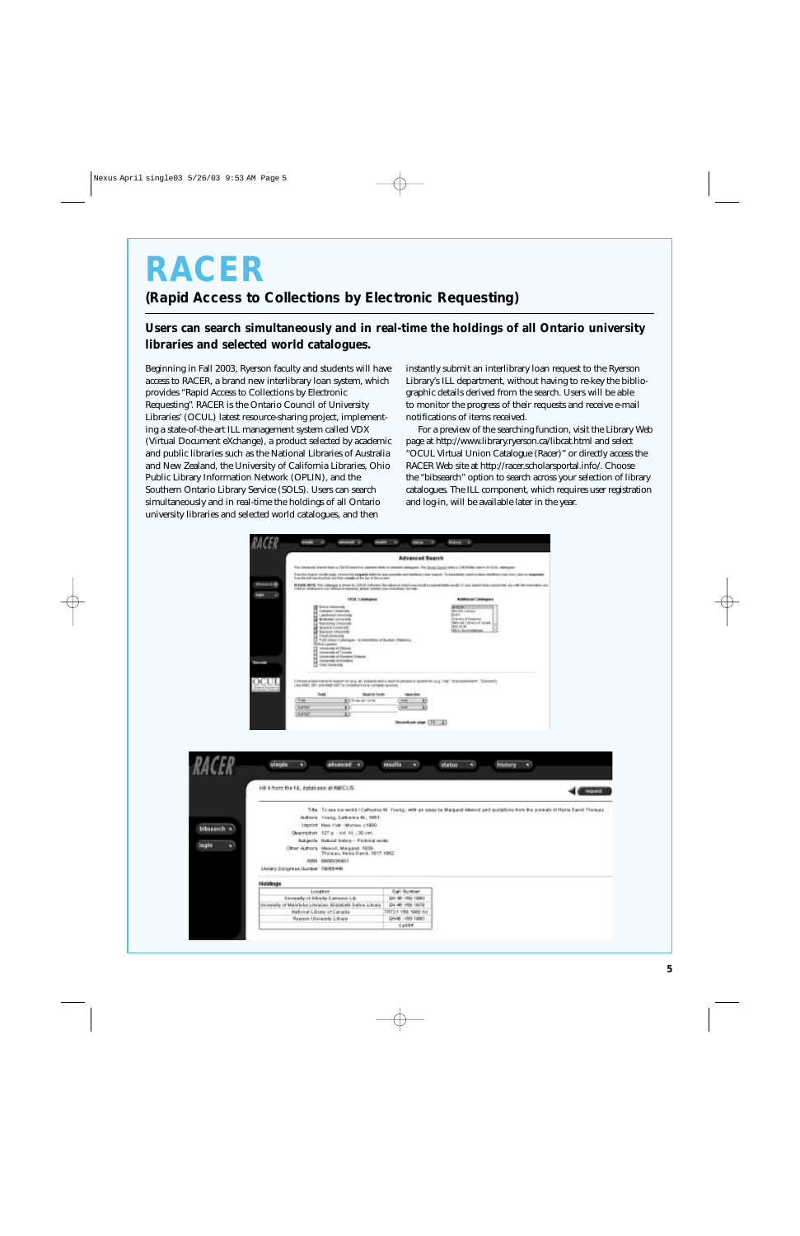## **RACER**

**(Rapid Access to Collections by Electronic Requesting)**

#### **Users can search simultaneously and in real-time the holdings of all Ontario university libraries and selected world catalogues.**

Beginning in Fall 2003, Ryerson faculty and students will have access to RACER, a brand new interlibrary loan system, which provides "Rapid Access to Collections by Electronic Requesting". RACER is the Ontario Council of University Libraries' (OCUL) latest resource-sharing project, implementing a state-of-the-art ILL management system called VDX (Virtual Document eXchange), a product selected by academic and public libraries such as the National Libraries of Australia and New Zealand, the University of California Libraries, Ohio Public Library Information Network (OPLIN), and the Southern Ontario Library Service (SOLS). Users can search simultaneously and in real-time the holdings of all Ontario university libraries and selected world catalogues, and then

instantly submit an interlibrary loan request to the Ryerson Library's ILL department, without having to re-key the bibliographic details derived from the search. Users will be able to monitor the progress of their requests and receive e-mail notifications of items received.

For a preview of the searching function, visit the Library Web page at http://www.library.ryerson.ca/libcat.html and select "OCUL Virtual Union Catalogue (Racer)" or directly access the RACER Web site at http://racer.scholarsportal.info/. Choose the "bibsearch" option to search across your selection of library catalogues. The ILL component, which requires user registration and log-in, will be available later in the year.

|                                                                                                                                                                                                                                                                                                                                                                                                                                                                                                                                                                                                                                                                                                                      | <b>Advanced Search</b>                                         |                                                                                                                                                                                                                                   |
|----------------------------------------------------------------------------------------------------------------------------------------------------------------------------------------------------------------------------------------------------------------------------------------------------------------------------------------------------------------------------------------------------------------------------------------------------------------------------------------------------------------------------------------------------------------------------------------------------------------------------------------------------------------------------------------------------------------------|----------------------------------------------------------------|-----------------------------------------------------------------------------------------------------------------------------------------------------------------------------------------------------------------------------------|
|                                                                                                                                                                                                                                                                                                                                                                                                                                                                                                                                                                                                                                                                                                                      |                                                                |                                                                                                                                                                                                                                   |
| This Entreprent Constitutions in EDA OF extenditions patented herein in Entertainment Contemporary. This Constitutions Council states in EDA FOTOMS interest on DCTAS, instanting party<br>loss thank bentrative was the couple of the lat of the inner-                                                                                                                                                                                                                                                                                                                                                                                                                                                             |                                                                | For the low in collicious, choice he suggest to your advanced to oriented a year for exact. To annotes, sent a lost and entirely harmon, one or assumpts                                                                          |
|                                                                                                                                                                                                                                                                                                                                                                                                                                                                                                                                                                                                                                                                                                                      |                                                                | PLIMID BRIS: Trá islanga a dreir in 2018 coltair. Na video a alta fara riod is constituto della P con anchi dan objective de vill ha representative<br>Instituto dell'anni la sulta in teorial, dove retire sur la altare farati. |
| <b>CCO. I managed</b>                                                                                                                                                                                                                                                                                                                                                                                                                                                                                                                                                                                                                                                                                                |                                                                | Additional Calabaguint                                                                                                                                                                                                            |
| Electrician<br>Carlotter Linksride<br>ij<br>Leashead University<br>Schlodel (closeds)<br><b>COLLACT</b><br><b>SERIOU LINNING</b><br>downs University<br><b>Annual Linester</b><br>Text stores<br>TUS Diese Cabinage - Schweistes of Suitan, Walerma.<br>Frid Laustree)                                                                                                                                                                                                                                                                                                                                                                                                                                               | <b>AND CONTRACTOR</b>                                          | <b>第四章</b><br><b>Bronak Library</b><br><b>Visits</b><br>(the world Lingway)<br><b>Retroid Library of Tarels</b><br><b>RUL IS, 16</b><br>35.1 (ps)                                                                                 |
| $\begin{tabular}{ c c c c } \hline & \multicolumn{3}{ c }{\multicolumn{3}{ c }{\multicolumn{3}{ c }{\multicolumn{3}{ c }{\multicolumn{3}{ c }{\multicolumn{3}{ c }{\multicolumn{3}{ c }{\multicolumn{3}{ c }{\multicolumn{3}{ c }{\multicolumn{3}{ c }{\multicolumn{3}{ c }{\multicolumn{3}{ c }{\multicolumn{3}{ c }{\multicolumn{3}{ c }{\multicolumn{3}{ c }{\multicolumn{3}{ c }{\multicolumn{3}{ c }{\multicolumn{3}{ c }{\mult$<br>University of Viendras Driterra<br>(mixes/6 of Victorian)<br><b>Bamashi</b><br>Choose what many to beauty on to g. all, solicity and a work to please to search to by g. "the", "may exclusively", "Domest").<br>Use AND, SR, pod AND HOT is constanting a company quarter. |                                                                |                                                                                                                                                                                                                                   |
| <b>Suarch Fank</b><br><b>Suite</b><br><b>They</b><br><b>RETAIN NO SITE</b><br><b>Author</b><br>Đ                                                                                                                                                                                                                                                                                                                                                                                                                                                                                                                                                                                                                     | <b>Hyanded</b><br>April.<br>$\blacksquare$<br><b>Ass</b><br>ä. |                                                                                                                                                                                                                                   |
| <b>Author</b><br>X)                                                                                                                                                                                                                                                                                                                                                                                                                                                                                                                                                                                                                                                                                                  | Receit per page [12 47                                         |                                                                                                                                                                                                                                   |
|                                                                                                                                                                                                                                                                                                                                                                                                                                                                                                                                                                                                                                                                                                                      |                                                                |                                                                                                                                                                                                                                   |
| strate<br>advanced =<br>m                                                                                                                                                                                                                                                                                                                                                                                                                                                                                                                                                                                                                                                                                            | <b>results</b><br>m                                            | n<br>m<br>status                                                                                                                                                                                                                  |
|                                                                                                                                                                                                                                                                                                                                                                                                                                                                                                                                                                                                                                                                                                                      |                                                                | <b>history</b>                                                                                                                                                                                                                    |
|                                                                                                                                                                                                                                                                                                                                                                                                                                                                                                                                                                                                                                                                                                                      |                                                                |                                                                                                                                                                                                                                   |
| Hit 4 from the FA, database at AMICUS.                                                                                                                                                                                                                                                                                                                                                                                                                                                                                                                                                                                                                                                                               |                                                                | This. To pea surrents!/Cathesia M. Young ; with an essy be Margaret Abood and questions from the journals of Henry David Thomas.                                                                                                  |
| Admis Young, Calverey M., 1981.                                                                                                                                                                                                                                                                                                                                                                                                                                                                                                                                                                                                                                                                                      |                                                                |                                                                                                                                                                                                                                   |
| Imprint, New York: Marsee, s1900.                                                                                                                                                                                                                                                                                                                                                                                                                                                                                                                                                                                                                                                                                    |                                                                |                                                                                                                                                                                                                                   |
| Geverloften 427 p. mid. 61 : 30 cm.                                                                                                                                                                                                                                                                                                                                                                                                                                                                                                                                                                                                                                                                                  |                                                                |                                                                                                                                                                                                                                   |
| Subjects Haloud biday - Picketal ecold.                                                                                                                                                                                                                                                                                                                                                                                                                                                                                                                                                                                                                                                                              |                                                                |                                                                                                                                                                                                                                   |
| Citter Authors Absolut, Margaret, 1939-<br>Thereau, Henry David, 1917-1952.                                                                                                                                                                                                                                                                                                                                                                                                                                                                                                                                                                                                                                          |                                                                |                                                                                                                                                                                                                                   |
| HOW IMORGINATIO<br>Library Congress Isunber 79005448                                                                                                                                                                                                                                                                                                                                                                                                                                                                                                                                                                                                                                                                 |                                                                |                                                                                                                                                                                                                                   |
|                                                                                                                                                                                                                                                                                                                                                                                                                                                                                                                                                                                                                                                                                                                      |                                                                |                                                                                                                                                                                                                                   |
| <b>Holdings</b>                                                                                                                                                                                                                                                                                                                                                                                                                                                                                                                                                                                                                                                                                                      |                                                                |                                                                                                                                                                                                                                   |
| Location<br><b>Thinstofy of Alberta Cameron Lib</b>                                                                                                                                                                                                                                                                                                                                                                                                                                                                                                                                                                                                                                                                  | Call Ninter<br>CRA 100 100 100                                 |                                                                                                                                                                                                                                   |
| Dirivently of Manifelia Libraries. Etizabeth Bates Library                                                                                                                                                                                                                                                                                                                                                                                                                                                                                                                                                                                                                                                           | DH 40 109, 1979                                                |                                                                                                                                                                                                                                   |
| National Library et Canada                                                                                                                                                                                                                                                                                                                                                                                                                                                                                                                                                                                                                                                                                           | THT21 YB0 1988 Fol.                                            |                                                                                                                                                                                                                                   |